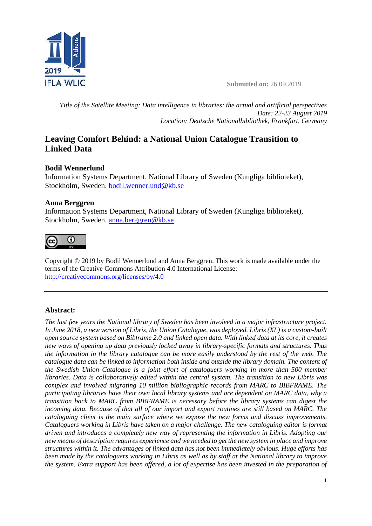

*Title of the Satellite Meeting: Data intelligence in libraries: the actual and artificial perspectives Date: 22-23 August 2019 Location: Deutsche Nationalbibliothek, Frankfurt, Germany*

# **Leaving Comfort Behind: a National Union Catalogue Transition to Linked Data**

## **Bodil Wennerlund**

Information Systems Department, National Library of Sweden (Kungliga biblioteket), Stockholm, Sweden. [bodil.wennerlund@kb.se](mailto:bodil.wennerlund@kb.se)

## **Anna Berggren**

Information Systems Department, National Library of Sweden (Kungliga biblioteket), Stockholm, Sweden. [anna.berggren@kb.se](mailto:anna.berggren@kb.se)



Copyright © 2019 by Bodil Wennerlund and Anna Berggren. This work is made available under the terms of the Creative Commons Attribution 4.0 International License: <http://creativecommons.org/licenses/by/4.0>

## **Abstract:**

*The last few years the National library of Sweden has been involved in a major infrastructure project. In June 2018, a new version of Libris, the Union Catalogue, was deployed. Libris (XL) is a custom-built open source system based on Bibframe 2.0 and linked open data. With linked data at its core, it creates new ways of opening up data previously locked away in library-specific formats and structures. Thus the information in the library catalogue can be more easily understood by the rest of the web. The catalogue data can be linked to information both inside and outside the library domain. The content of the Swedish Union Catalogue is a joint effort of cataloguers working in more than 500 member libraries. Data is collaboratively edited within the central system. The transition to new Libris was complex and involved migrating 10 million bibliographic records from MARC to BIBFRAME. The participating libraries have their own local library systems and are dependent on MARC data, why a transition back to MARC from BIBFRAME is necessary before the library systems can digest the incoming data. Because of that all of our import and export routines are still based on MARC. The cataloguing client is the main surface where we expose the new forms and discuss improvements. Cataloguers working in Libris have taken on a major challenge. The new cataloguing editor is format driven and introduces a completely new way of representing the information in Libris. Adopting our new means of description requires experience and we needed to get the new system in place and improve structures within it. The advantages of linked data has not been immediately obvious. Huge efforts has been made by the cataloguers working in Libris as well as by staff at the National library to improve the system. Extra support has been offered, a lot of expertise has been invested in the preparation of*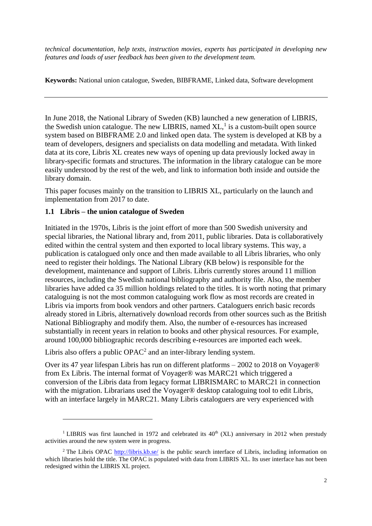*technical documentation, help texts, instruction movies, experts has participated in developing new features and loads of user feedback has been given to the development team.*

**Keywords:** National union catalogue, Sweden, BIBFRAME, Linked data, Software development

In June 2018, the National Library of Sweden (KB) launched a new generation of LIBRIS, the Swedish union catalogue. The new LIBRIS, named  $XL$ , is a custom-built open source system based on BIBFRAME 2.0 and linked open data. The system is developed at KB by a team of developers, designers and specialists on data modelling and metadata. With linked data at its core, Libris XL creates new ways of opening up data previously locked away in library-specific formats and structures. The information in the library catalogue can be more easily understood by the rest of the web, and link to information both inside and outside the library domain.

This paper focuses mainly on the transition to LIBRIS XL, particularly on the launch and implementation from 2017 to date.

## **1.1 Libris – the union catalogue of Sweden**

Initiated in the 1970s, Libris is the joint effort of more than 500 Swedish university and special libraries, the National library and, from 2011, public libraries. Data is collaboratively edited within the central system and then exported to local library systems. This way, a publication is catalogued only once and then made available to all Libris libraries, who only need to register their holdings. The National Library (KB below) is responsible for the development, maintenance and support of Libris. Libris currently stores around 11 million resources, including the Swedish national bibliography and authority file. Also, the member libraries have added ca 35 million holdings related to the titles. It is worth noting that primary cataloguing is not the most common cataloguing work flow as most records are created in Libris via imports from book vendors and other partners. Cataloguers enrich basic records already stored in Libris, alternatively download records from other sources such as the British National Bibliography and modify them. Also, the number of e-resources has increased substantially in recent years in relation to books and other physical resources. For example, around 100,000 bibliographic records describing e-resources are imported each week.

Libris also offers a public  $OPAC<sup>2</sup>$  and an inter-library lending system.

Over its 47 year lifespan Libris has run on different platforms – 2002 to 2018 on Voyager® from Ex Libris. The internal format of Voyager® was MARC21 which triggered a conversion of the Libris data from legacy format LIBRISMARC to MARC21 in connection with the migration. Librarians used the Voyager® desktop cataloguing tool to edit Libris, with an interface largely in MARC21. Many Libris cataloguers are very experienced with

<sup>&</sup>lt;sup>1</sup> LIBRIS was first launched in 1972 and celebrated its  $40<sup>th</sup>$  (XL) anniversary in 2012 when prestudy activities around the new system were in progress.

<sup>&</sup>lt;sup>2</sup> The Libris OPAC<http://libris.kb.se/> is the public search interface of Libris, including information on which libraries hold the title. The OPAC is populated with data from LIBRIS XL. Its user interface has not been redesigned within the LIBRIS XL project.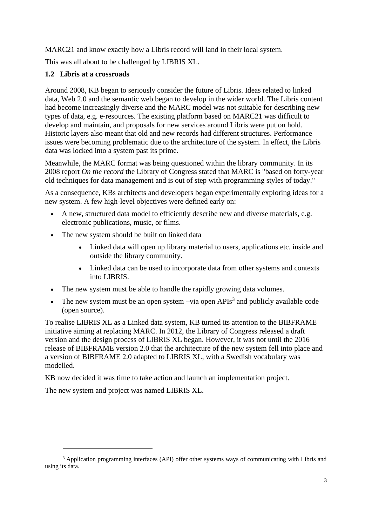MARC21 and know exactly how a Libris record will land in their local system.

This was all about to be challenged by LIBRIS XL.

## **1.2 Libris at a crossroads**

Around 2008, KB began to seriously consider the future of Libris. Ideas related to linked data, Web 2.0 and the semantic web began to develop in the wider world. The Libris content had become increasingly diverse and the MARC model was not suitable for describing new types of data, e.g. e-resources. The existing platform based on MARC21 was difficult to develop and maintain, and proposals for new services around Libris were put on hold. Historic layers also meant that old and new records had different structures. Performance issues were becoming problematic due to the architecture of the system. In effect, the Libris data was locked into a system past its prime.

Meanwhile, the MARC format was being questioned within the library community. In its 2008 report *On the record* the Library of Congress stated that MARC is "based on forty-year old techniques for data management and is out of step with programming styles of today."

As a consequence, KBs architects and developers began experimentally exploring ideas for a new system. A few high-level objectives were defined early on:

- A new, structured data model to efficiently describe new and diverse materials, e.g. electronic publications, music, or films.
- The new system should be built on linked data
	- Linked data will open up library material to users, applications etc. inside and outside the library community.
	- Linked data can be used to incorporate data from other systems and contexts into LIBRIS.
- The new system must be able to handle the rapidly growing data volumes.
- The new system must be an open system  $-\text{via}$  open APIs<sup>3</sup> and publicly available code (open source).

To realise LIBRIS XL as a Linked data system, KB turned its attention to the BIBFRAME initiative aiming at replacing MARC. In 2012, the Library of Congress released a draft version and the design process of LIBRIS XL began. However, it was not until the 2016 release of BIBFRAME version 2.0 that the architecture of the new system fell into place and a version of BIBFRAME 2.0 adapted to LIBRIS XL, with a Swedish vocabulary was modelled.

KB now decided it was time to take action and launch an implementation project.

The new system and project was named LIBRIS XL.

<sup>&</sup>lt;sup>3</sup> Application programming interfaces (API) offer other systems ways of communicating with Libris and using its data.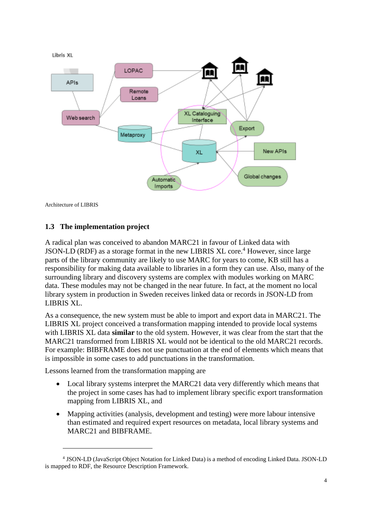

Architecture of LIBRIS

#### **1.3 The implementation project**

A radical plan was conceived to abandon MARC21 in favour of Linked data with JSON-LD (RDF) as a storage format in the new LIBRIS XL core.<sup>4</sup> However, since large parts of the library community are likely to use MARC for years to come, KB still has a responsibility for making data available to libraries in a form they can use. Also, many of the surrounding library and discovery systems are complex with modules working on MARC data. These modules may not be changed in the near future. In fact, at the moment no local library system in production in Sweden receives linked data or records in JSON-LD from LIBRIS XL.

As a consequence, the new system must be able to import and export data in MARC21. The LIBRIS XL project conceived a transformation mapping intended to provide local systems with LIBRIS XL data **similar** to the old system. However, it was clear from the start that the MARC21 transformed from LIBRIS XL would not be identical to the old MARC21 records. For example: BIBFRAME does not use punctuation at the end of elements which means that is impossible in some cases to add punctuations in the transformation.

Lessons learned from the transformation mapping are

- Local library systems interpret the MARC21 data very differently which means that the project in some cases has had to implement library specific export transformation mapping from LIBRIS XL, and
- Mapping activities (analysis, development and testing) were more labour intensive than estimated and required expert resources on metadata, local library systems and MARC21 and BIBFRAME.

<sup>4</sup> JSON-LD (JavaScript Object Notation for Linked Data) is a method of encoding Linked Data. JSON-LD is mapped to RDF, the Resource Description Framework.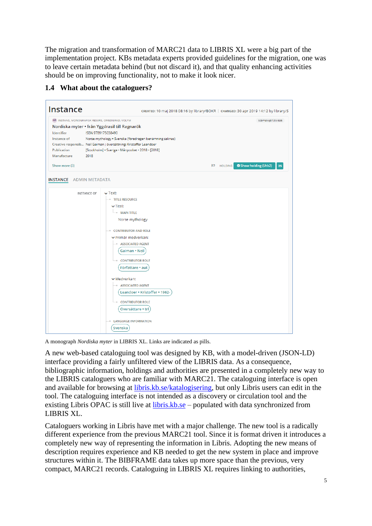The migration and transformation of MARC21 data to LIBRIS XL were a big part of the implementation project. KBs metadata experts provided guidelines for the migration, one was to leave certain metadata behind (but not discard it), and that quality enhancing activities should be on improving functionality, not to make it look nicer.

| <b>Instance</b>                                                                                                                                                                                                                                                                                                                                                                                       | CREATED: 10 maj 2018 08:16 by library/BOKR   CHANGED: 30 apr 2019 14:12 by library/S |                                                |
|-------------------------------------------------------------------------------------------------------------------------------------------------------------------------------------------------------------------------------------------------------------------------------------------------------------------------------------------------------------------------------------------------------|--------------------------------------------------------------------------------------|------------------------------------------------|
| NB INSTANS, MONOGRAFISK RESURS, OMEDIERAD, VOLYM<br>Nordiska myter • från Yggdrasil till Ragnarök<br>Identifier<br>ISBN 9789175038490<br>Norse mythology · Svenska {föredragen benämning saknas}<br>Instance of<br>Creative responsib Neil Gaiman ; översättning: Kristoffer Leandoer<br>Publication<br>[Stockholm] · Sverige · Månpocket · 2018 · [2018]<br>Manufacture<br>2018                      |                                                                                      | tc5mskq513tx6z6                                |
| Show more (3)                                                                                                                                                                                                                                                                                                                                                                                         |                                                                                      | Show holding (Utb2)<br><b>ES HOLDING</b><br>25 |
| <b>ADMIN METADATA</b><br><b>INSTANCE</b>                                                                                                                                                                                                                                                                                                                                                              |                                                                                      |                                                |
| $\vee$ Text:<br><b>INSTANCE OF</b><br>- TITLE RESOURCE<br>$\vee$ Titel:<br>- MAIN TITLE<br>Norse mythology<br>- CONTRIBUTOR AND ROLE<br>$\vee$ Primär medverkan:<br><b>ASSOCIATED AGENT</b><br>Gaiman . Neil<br><b>CONTRIBUTOR ROLE</b><br>Författare • aut<br>$\vee$ Medverkan:<br><b>ASSOCIATED AGENT</b><br><b>CONTRIBUTOR ROLE</b><br>Översättare • trl<br><b>LANGUAGE INFORMATION</b><br>Svenska | Leandoer • Kristoffer • 1962-                                                        |                                                |

## **1.4 What about the cataloguers?**

A monograph *Nordiska myter* in LIBRIS XL. Links are indicated as pills.

A new web-based cataloguing tool was designed by KB, with a model-driven (JSON-LD) interface providing a fairly unfiltered view of the LIBRIS data. As a consequence, bibliographic information, holdings and authorities are presented in a completely new way to the LIBRIS cataloguers who are familiar with MARC21. The cataloguing interface is open and available for browsing at [libris.kb.se/katalogisering,](https://libris.kb.se/katalogisering) but only Libris users can edit in the tool. The cataloguing interface is not intended as a discovery or circulation tool and the existing Libris OPAC is still live at [libris.kb.se](http://libris.kb.se/) – populated with data synchronized from LIBRIS XL.

Cataloguers working in Libris have met with a major challenge. The new tool is a radically different experience from the previous MARC21 tool. Since it is format driven it introduces a completely new way of representing the information in Libris. Adopting the new means of description requires experience and KB needed to get the new system in place and improve structures within it. The BIBFRAME data takes up more space than the previous, very compact, MARC21 records. Cataloguing in LIBRIS XL requires linking to authorities,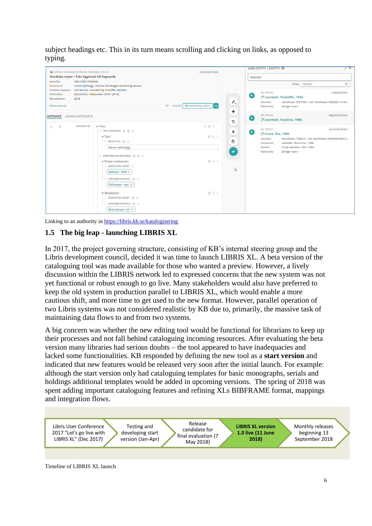subject headings etc. This in its turn means scrolling and clicking on links, as opposed to typing.

| NB INSTANS, MONOGRAFISK RESURS, OMEDIERAD, VOLYM<br>Nordiska myter • från Yggdrasil till Ragnarök<br>Identifier<br>ISBN 9789175038490<br>Instance of<br>Creative responsi Neil Gaiman ; översättning: Kristoffer Leandoer<br>Publication<br>Manufacture<br>2018<br>Show more (3) | Norse mythology · Svenska {föredragen benämning saknas}<br>[Stockholm] · Månpocket · 2018 · [2018]                                                                                                                                                                         | tc5mskq513tx6z6<br>O Add holding (Utb1) 24<br><b>P3 HOLDING</b> | leando<br>$+$<br>$\sigma^{\rm C}$ . | ADD ENTITY   ENTITY O<br>Show - Person<br>FU PERSON<br>Z' Leandoer, Kristoffer, 1962-<br>Identifier<br>Identifikator 52572782 · viaf, Identifikator 0000000114726<br>Nationality<br>Sverige . e-sw---                                                               | ⊻^ X<br>$\times$<br>1zcfgqdk09ljt4k |
|----------------------------------------------------------------------------------------------------------------------------------------------------------------------------------------------------------------------------------------------------------------------------------|----------------------------------------------------------------------------------------------------------------------------------------------------------------------------------------------------------------------------------------------------------------------------|-----------------------------------------------------------------|-------------------------------------|---------------------------------------------------------------------------------------------------------------------------------------------------------------------------------------------------------------------------------------------------------------------|-------------------------------------|
| <b>INSTANCE</b> ADMIN METADATA                                                                                                                                                                                                                                                   |                                                                                                                                                                                                                                                                            |                                                                 | ÷<br>٠<br>C                         | FU PERSON<br>42gjhssn3tbcm0b<br>Z Leandoer, Katarina, 1966-                                                                                                                                                                                                         |                                     |
| <b>INSTANCE OF</b><br>$\odot$<br>盲                                                                                                                                                                                                                                               | $\vee$ Text:<br>- TITLE RESOURCE @ C @<br>$\vee$ Titel:<br>→ MAIN TITLE @ 自<br>Norse mythology<br>→ CONTRIBUTOR AND ROLE @ C A<br>▼ Primär medverkan:<br>ASSOCIATED AGENT<br>Gaiman . Neil ©<br><b>L</b> • CONTRIBUTOR ROLE ◎ m<br>Författare · aut ©<br>$\vee$ Medverkan: | % 0 ₿<br>0 亩 1<br><b>O</b> 命 :<br>$O$ $B$ $=$                   | $\pmb{\times}$<br>$+$<br>b<br>ß     | FU PERSON<br>gn244xl82rd0d54<br><b>7 Crona, Åsa, 1966-</b><br>Identifier<br>Identifikator 7358810 · viaf, Identifikator 00000000548615<br>Leandoer · Åsa Crona · 1966-<br>HasVariant<br>Crona-Leandoer · Åsa · 1966-<br>SeeAlso<br>Nationality<br>Sverige . e-sw--- |                                     |
|                                                                                                                                                                                                                                                                                  | → ASSOCIATED AGENT © m<br><b>CONTRIBUTOR ROLE O</b> III<br>Översättare • trl ©                                                                                                                                                                                             |                                                                 |                                     |                                                                                                                                                                                                                                                                     |                                     |

Linking to an authority i[n https://libris.kb.se/katalogisering](https://libris.kb.se/katalogisering)

## **1.5 The big leap - launching LIBRIS XL**

In 2017, the project governing structure, consisting of KB's internal steering group and the Libris development council, decided it was time to launch LIBRIS XL. A beta version of the cataloguing tool was made available for those who wanted a preview. However, a lively discussion within the LIBRIS network led to expressed concerns that the new system was not yet functional or robust enough to go live. Many stakeholders would also have preferred to keep the old system in production parallel to LIBRIS XL, which would enable a more cautious shift, and more time to get used to the new format. However, parallel operation of two Libris systems was not considered realistic by KB due to, primarily, the massive task of maintaining data flows to and from two systems.

A big concern was whether the new editing tool would be functional for librarians to keep up their processes and not fall behind cataloguing incoming resources. After evaluating the beta version many libraries had serious doubts – the tool appeared to have inadequacies and lacked some functionalities. KB responded by defining the new tool as a **start version** and indicated that new features would be released very soon after the initial launch. For example: although the start version only had cataloguing templates for basic monographs, serials and holdings additional templates would be added in upcoming versions. The spring of 2018 was spent adding important cataloguing features and refining XLs BIBFRAME format, mappings and integration flows.



Timeline of LIBRIS XL launch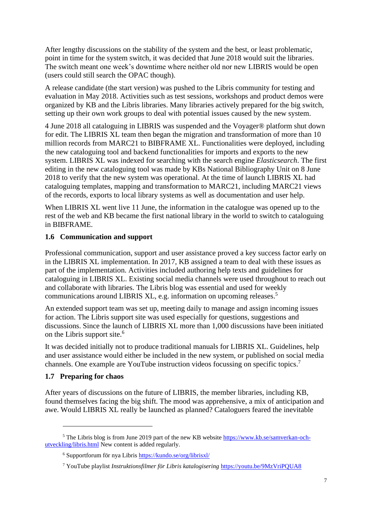After lengthy discussions on the stability of the system and the best, or least problematic, point in time for the system switch, it was decided that June 2018 would suit the libraries. The switch meant one week's downtime where neither old nor new LIBRIS would be open (users could still search the OPAC though).

A release candidate (the start version) was pushed to the Libris community for testing and evaluation in May 2018. Activities such as test sessions, workshops and product demos were organized by KB and the Libris libraries. Many libraries actively prepared for the big switch, setting up their own work groups to deal with potential issues caused by the new system.

4 June 2018 all cataloguing in LIBRIS was suspended and the Voyager® platform shut down for edit. The LIBRIS XL team then began the migration and transformation of more than 10 million records from MARC21 to BIBFRAME XL. Functionalities were deployed, including the new cataloguing tool and backend functionalities for imports and exports to the new system. LIBRIS XL was indexed for searching with the search engine *Elasticsearch*. The first editing in the new cataloguing tool was made by KBs National Bibliography Unit on 8 June 2018 to verify that the new system was operational. At the time of launch LIBRIS XL had cataloguing templates, mapping and transformation to MARC21, including MARC21 views of the records, exports to local library systems as well as documentation and user help.

When LIBRIS XL went live 11 June, the information in the catalogue was opened up to the rest of the web and KB became the first national library in the world to switch to cataloguing in BIBFRAME.

## **1.6 Communication and support**

Professional communication, support and user assistance proved a key success factor early on in the LIBRIS XL implementation. In 2017, KB assigned a team to deal with these issues as part of the implementation. Activities included authoring help texts and guidelines for cataloguing in LIBRIS XL. Existing social media channels were used throughout to reach out and collaborate with libraries. The Libris blog was essential and used for weekly communications around LIBRIS XL, e.g. information on upcoming releases.<sup>5</sup>

An extended support team was set up, meeting daily to manage and assign incoming issues for action. The Libris support site was used especially for questions, suggestions and discussions. Since the launch of LIBRIS XL more than 1,000 discussions have been initiated on the Libris support site.<sup>6</sup>

It was decided initially not to produce traditional manuals for LIBRIS XL. Guidelines, help and user assistance would either be included in the new system, or published on social media channels. One example are YouTube instruction videos focussing on specific topics. 7

## **1.7 Preparing for chaos**

After years of discussions on the future of LIBRIS, the member libraries, including KB, found themselves facing the big shift. The mood was apprehensive, a mix of anticipation and awe. Would LIBRIS XL really be launched as planned? Cataloguers feared the inevitable

 $5$  The Libris blog is from June 2019 part of the new KB website [https://www.kb.se/samverkan-och](https://www.kb.se/samverkan-och-utveckling/libris.html)[utveckling/libris.html](https://www.kb.se/samverkan-och-utveckling/libris.html) New content is added regularly.

<sup>6</sup> Supportforum för nya Libris<https://kundo.se/org/librisxl/>

<sup>7</sup> YouTube playlist *Instruktionsfilmer för Libris katalogisering* <https://youtu.be/9MzVriPQUA8>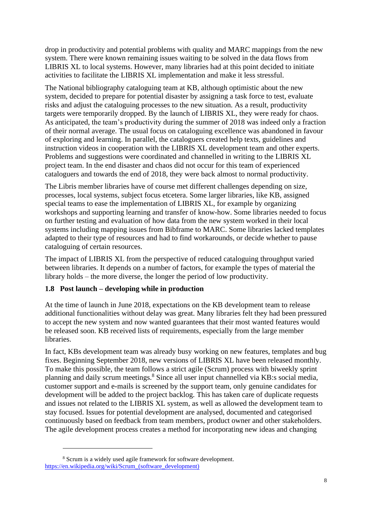drop in productivity and potential problems with quality and MARC mappings from the new system. There were known remaining issues waiting to be solved in the data flows from LIBRIS XL to local systems. However, many libraries had at this point decided to initiate activities to facilitate the LIBRIS XL implementation and make it less stressful.

The National bibliography cataloguing team at KB, although optimistic about the new system, decided to prepare for potential disaster by assigning a task force to test, evaluate risks and adjust the cataloguing processes to the new situation. As a result, productivity targets were temporarily dropped. By the launch of LIBRIS XL, they were ready for chaos. As anticipated, the team's productivity during the summer of 2018 was indeed only a fraction of their normal average. The usual focus on cataloguing excellence was abandoned in favour of exploring and learning. In parallel, the cataloguers created help texts, guidelines and instruction videos in cooperation with the LIBRIS XL development team and other experts. Problems and suggestions were coordinated and channelled in writing to the LIBRIS XL project team. In the end disaster and chaos did not occur for this team of experienced cataloguers and towards the end of 2018, they were back almost to normal productivity.

The Libris member libraries have of course met different challenges depending on size, processes, local systems, subject focus etcetera. Some larger libraries, like KB, assigned special teams to ease the implementation of LIBRIS XL, for example by organizing workshops and supporting learning and transfer of know-how. Some libraries needed to focus on further testing and evaluation of how data from the new system worked in their local systems including mapping issues from Bibframe to MARC. Some libraries lacked templates adapted to their type of resources and had to find workarounds, or decide whether to pause cataloguing of certain resources.

The impact of LIBRIS XL from the perspective of reduced cataloguing throughput varied between libraries. It depends on a number of factors, for example the types of material the library holds – the more diverse, the longer the period of low productivity.

## **1.8 Post launch – developing while in production**

At the time of launch in June 2018, expectations on the KB development team to release additional functionalities without delay was great. Many libraries felt they had been pressured to accept the new system and now wanted guarantees that their most wanted features would be released soon. KB received lists of requirements, especially from the large member libraries.

In fact, KBs development team was already busy working on new features, templates and bug fixes. Beginning September 2018, new versions of LIBRIS XL have been released monthly. To make this possible, the team follows a strict agile (Scrum) process with biweekly sprint planning and daily scrum meetings. <sup>8</sup> Since all user input channelled via KB:s social media, customer support and e-mails is screened by the support team, only genuine candidates for development will be added to the project backlog. This has taken care of duplicate requests and issues not related to the LIBRIS XL system, as well as allowed the development team to stay focused. Issues for potential development are analysed, documented and categorised continuously based on feedback from team members, product owner and other stakeholders. The agile development process creates a method for incorporating new ideas and changing

<sup>8</sup> Scrum is a widely used agile framework for software development. [https://en.wikipedia.org/wiki/Scrum\\_\(software\\_development\)](https://en.wikipedia.org/wiki/Scrum_(software_development))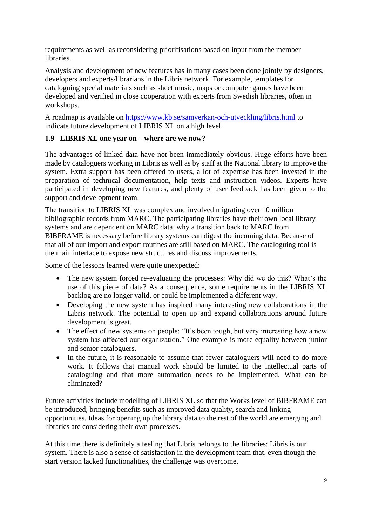requirements as well as reconsidering prioritisations based on input from the member libraries.

Analysis and development of new features has in many cases been done jointly by designers, developers and experts/librarians in the Libris network. For example, templates for cataloguing special materials such as sheet music, maps or computer games have been developed and verified in close cooperation with experts from Swedish libraries, often in workshops.

A roadmap is available on<https://www.kb.se/samverkan-och-utveckling/libris.html> to indicate future development of LIBRIS XL on a high level.

## **1.9 LIBRIS XL one year on – where are we now?**

The advantages of linked data have not been immediately obvious. Huge efforts have been made by cataloguers working in Libris as well as by staff at the National library to improve the system. Extra support has been offered to users, a lot of expertise has been invested in the preparation of technical documentation, help texts and instruction videos. Experts have participated in developing new features, and plenty of user feedback has been given to the support and development team.

The transition to LIBRIS XL was complex and involved migrating over 10 million bibliographic records from MARC. The participating libraries have their own local library systems and are dependent on MARC data, why a transition back to MARC from BIBFRAME is necessary before library systems can digest the incoming data. Because of that all of our import and export routines are still based on MARC. The cataloguing tool is the main interface to expose new structures and discuss improvements.

Some of the lessons learned were quite unexpected:

- The new system forced re-evaluating the processes: Why did we do this? What's the use of this piece of data? As a consequence, some requirements in the LIBRIS XL backlog are no longer valid, or could be implemented a different way.
- Developing the new system has inspired many interesting new collaborations in the Libris network. The potential to open up and expand collaborations around future development is great.
- The effect of new systems on people: "It's been tough, but very interesting how a new system has affected our organization." One example is more equality between junior and senior cataloguers.
- In the future, it is reasonable to assume that fewer cataloguers will need to do more work. It follows that manual work should be limited to the intellectual parts of cataloguing and that more automation needs to be implemented. What can be eliminated?

Future activities include modelling of LIBRIS XL so that the Works level of BIBFRAME can be introduced, bringing benefits such as improved data quality, search and linking opportunities. Ideas for opening up the library data to the rest of the world are emerging and libraries are considering their own processes.

At this time there is definitely a feeling that Libris belongs to the libraries: Libris is our system. There is also a sense of satisfaction in the development team that, even though the start version lacked functionalities, the challenge was overcome.